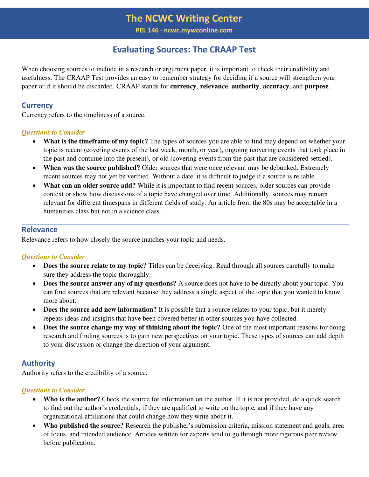# **Evaluating Sources: The CRAAP Test**

When choosing sources to include in a research or argument paper, it is important to check their credibility and usefulness. The CRAAP Test provides an easy to remember strategy for deciding if a source will strengthen your paper or if it should be discarded. CRAAP stands for **currency**, **relevance**, **authority**, **accuracy**, and **purpose**.

## **Currency**

Currency refers to the timeliness of a source.

#### *Questions to Consider*

- **What is the timeframe of my topic?** The types of sources you are able to find may depend on whether your topic is recent (covering events of the last week, month, or year), ongoing (covering events that took place in the past and continue into the present), or old (covering events from the past that are considered settled).
- **When was the source published?** Older sources that were once relevant may be debunked. Extremely recent sources may not yet be verified. Without a date, it is difficult to judge if a source is reliable.
- **What can an older source add?** While it is important to find recent sources, older sources can provide context or show how discussions of a topic have changed over time. Additionally, sources may remain relevant for different timespans in different fields of study. An article from the 80s may be acceptable in a humanities class but not in a science class.

## **Relevance**

Relevance refers to how closely the source matches your topic and needs.

## *Questions to Consider*

- **Does the source relate to my topic?** Titles can be deceiving. Read through all sources carefully to make sure they address the topic thoroughly.
- **Does the source answer any of my questions?** A source does not have to be directly about your topic. You can find sources that are relevant because they address a single aspect of the topic that you wanted to know more about.
- **Does the source add new information?** It is possible that a source relates to your topic, but it merely repeats ideas and insights that have been covered better in other sources you have collected.
- **Does the source change my way of thinking about the topic?** One of the most important reasons for doing research and finding sources is to gain new perspectives on your topic. These types of sources can add depth to your discussion or change the direction of your argument.

# **Authority**

Authority refers to the credibility of a source.

#### *Questions to Consider*

- **Who is the author?** Check the source for information on the author. If it is not provided, do a quick search to find out the author's credentials, if they are qualified to write on the topic, and if they have any organizational affiliations that could change how they write about it.
- **Who published the source?** Research the publisher's submission criteria, mission statement and goals, area of focus, and intended audience. Articles written for experts tend to go through more rigorous peer review before publication.